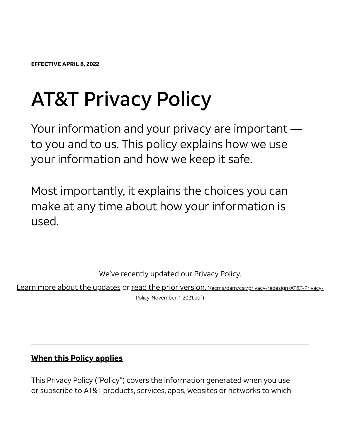EFFECTIVE APRIL 8, 2022

# AT&T Privacy Policy

Your information and your privacy are important to you and to us. This policy explains how we use your information and how we keep it safe.

Most importantly, it explains the choices you can make at any time about how your information is used.

We've recently updated our Privacy Policy.

Learn more about the updates or read the prior version. [\(/ecms/dam/csr/privacy-redesign/AT&T-Privacy-](https://about.att.com/ecms/dam/csr/privacy-redesign/AT&T-Privacy-Policy-November-1-2021.pdf)Policy-November-1-2021.pdf)

#### When this Policy applies

This Privacy Policy ("Policy") covers the information generated when you use or subscribe to AT&T products, services, apps, websites or networks to which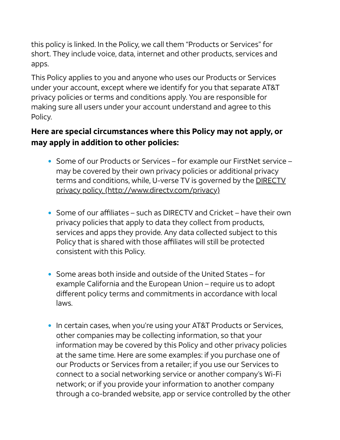this policy is linked. In the Policy, we call them "Products or Services" for short. They include voice, data, internet and other products, services and apps.

This Policy applies to you and anyone who uses our Products or Services under your account, except where we identify for you that separate AT&T privacy policies or terms and conditions apply. You are responsible for making sure all users under your account understand and agree to this Policy.

#### Here are special circumstances where this Policy may not apply, or may apply in addition to other policies:

- Some of our Products or Services for example our FirstNet service may be covered by their own privacy policies or additional privacy terms and conditions, while, U-verse TV is governed by the DIRECTV privacy policy. [\(http://www.directv.com/privacy\)](http://www.directv.com/privacy)
- Some of our affiliates such as DIRECTV and Cricket have their own privacy policies that apply to data they collect from products, services and apps they provide. Any data collected subject to this Policy that is shared with those affiliates will still be protected consistent with this Policy.
- Some areas both inside and outside of the United States for example California and the European Union – require us to adopt different policy terms and commitments in accordance with local laws.
- In certain cases, when you're using your AT&T Products or Services, other companies may be collecting information, so that your information may be covered by this Policy and other privacy policies at the same time. Here are some examples: if you purchase one of our Products or Services from a retailer; if you use our Services to connect to a social networking service or another company's Wi-Fi network; or if you provide your information to another company through a co-branded website, app or service controlled by the other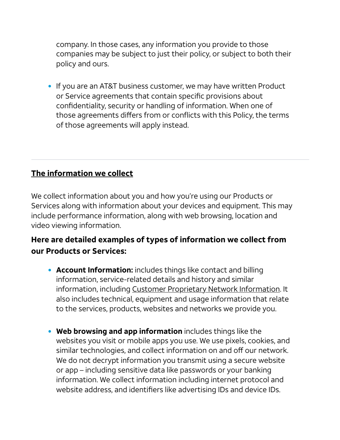company. In those cases, any information you provide to those companies may be subject to just their policy, or subject to both their policy and ours.

If you are an AT&T business customer, we may have written Product or Service agreements that contain specific provisions about confidentiality, security or handling of information. When one of those agreements differs from or conflicts with this Policy, the terms of those agreements will apply instead.

#### <span id="page-2-0"></span>The information we collect

We collect information about you and how you're using our Products or Services along with information about your devices and equipment. This may include performance information, along with web browsing, location and video viewing information.

#### Here are detailed examples of types of information we collect from our Products or Services:

- Account Information: includes things like contact and billing information, service-related details and history and similar information, including Customer Proprietary [Network Information](#page-28-0). It also includes technical, equipment and usage information that relate to the services, products, websites and networks we provide you.
- Web browsing and app information includes things like the websites you visit or mobile apps you use. We use pixels, cookies, and similar technologies, and collect information on and off our network. We do not decrypt information you transmit using a secure website or app – including sensitive data like passwords or your banking information. We collect information including internet protocol and website address, and identifiers like advertising IDs and device IDs.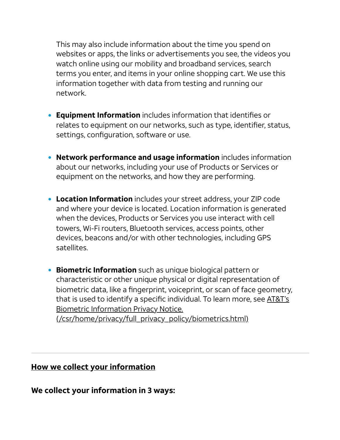This may also include information about the time you spend on websites or apps, the links or advertisements you see, the videos you watch online using our mobility and broadband services, search terms you enter, and items in your online shopping cart. We use this information together with data from testing and running our network.

- **Equipment Information** includes information that identifies or relates to equipment on our networks, such as type, identifier, status, settings, configuration, software or use.
- Network performance and usage information includes information about our networks, including your use of Products or Services or equipment on the networks, and how they are performing.
- **Location Information** includes your street address, your ZIP code and where your device is located. Location information is generated when the devices, Products or Services you use interact with cell towers, Wi-Fi routers, Bluetooth services, access points, other devices, beacons and/or with other technologies, including GPS satellites.
- **Biometric Information** such as unique biological pattern or characteristic or other unique physical or digital representation of biometric data, like a fingerprint, voiceprint, or scan of face geometry, that is used to identify a specific individual. To learn more, see AT&T's Biometric Information Privacy Notice.

[\(/csr/home/privacy/full\\_privacy\\_policy/biometrics.html\)](https://about.att.com/csr/home/privacy/full_privacy_policy/biometrics.html)

#### <span id="page-3-0"></span>How we collect your information

We collect your information in 3 ways: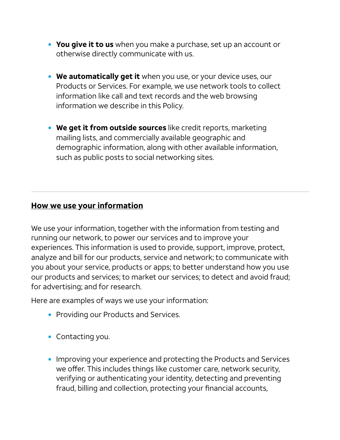- You give it to us when you make a purchase, set up an account or otherwise directly communicate with us.
- We automatically get it when you use, or your device uses, our Products or Services. For example, we use network tools to collect information like call and text records and the web browsing information we describe in this Policy.
- We get it from outside sources like credit reports, marketing mailing lists, and commercially available geographic and demographic information, along with other available information, such as public posts to social networking sites.

#### <span id="page-4-0"></span>How we use your information

We use your information, together with the information from testing and running our network, to power our services and to improve your experiences. This information is used to provide, support, improve, protect, analyze and bill for our products, service and network; to communicate with you about your service, products or apps; to better understand how you use our products and services; to market our services; to detect and avoid fraud; for advertising; and for research.

Here are examples of ways we use your information:

- Providing our Products and Services.
- Contacting you.
- Improving your experience and protecting the Products and Services we offer. This includes things like customer care, network security, verifying or authenticating your identity, detecting and preventing fraud, billing and collection, protecting your financial accounts,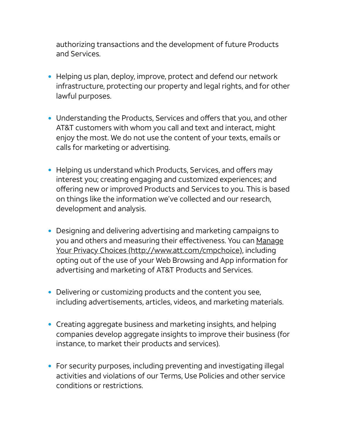authorizing transactions and the development of future Products and Services.

- Helping us plan, deploy, improve, protect and defend our network infrastructure, protecting our property and legal rights, and for other lawful purposes.
- Understanding the Products, Services and offers that you, and other AT&T customers with whom you call and text and interact, might enjoy the most. We do not use the content of your texts, emails or calls for marketing or advertising.
- Helping us understand which Products, Services, and offers may interest you; creating engaging and customized experiences; and offering new or improved Products and Services to you. This is based on things like the information we've collected and our research, development and analysis.
- Designing and delivering advertising and marketing campaigns to you and others and measuring their effectiveness. You can Manage Your Privacy Choices [\(http://www.att.com/cmpchoice\),](http://www.att.com/cmpchoice) including opting out of the use of your Web Browsing and App information for advertising and marketing of AT&T Products and Services.
- Delivering or customizing products and the content you see, including advertisements, articles, videos, and marketing materials.
- Creating aggregate business and marketing insights, and helping companies develop aggregate insights to improve their business (for instance, to market their products and services).
- For security purposes, including preventing and investigating illegal activities and violations of our Terms, Use Policies and other service conditions or restrictions.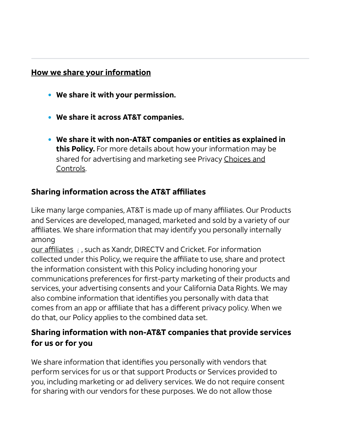#### <span id="page-6-0"></span>How we share your information

- We share it with your permission.
- We share it across AT&T companies.
- We share it with non-AT&T companies or entities as explained in this Policy. For more details about how your information may be shared for [advertising](#page-10-0) and marketing see Privacy Choices and Controls.

#### Sharing information across the AT&T affiliates

Like many large companies, AT&T is made up of many affiliates. Our Products and Services are developed, managed, marketed and sold by a variety of our affiliates. We share information that may identify you personally internally among

our affiliates *i* , such as Xandr, DIRECTV and Cricket. For information collected under this Policy, we require the affiliate to use, share and protect the information consistent with this Policy including honoring your communications preferences for first-party marketing of their products and services, your advertising consents and your California Data Rights. We may also combine information that identifies you personally with data that comes from an app or affiliate that has a different privacy policy. When we do that, our Policy applies to the combined data set.

#### Sharing information with non-AT&T companies that provide services for us or for you

We share information that identifies you personally with vendors that perform services for us or that support Products or Services provided to you, including marketing or ad delivery services. We do not require consent for sharing with our vendors for these purposes. We do not allow those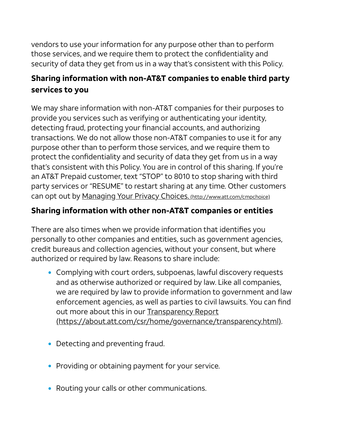vendors to use your information for any purpose other than to perform those services, and we require them to protect the confidentiality and security of data they get from us in a way that's consistent with this Policy.

## Sharing information with non-AT&T companies to enable third party services to you

We may share information with non-AT&T companies for their purposes to provide you services such as verifying or authenticating your identity, detecting fraud, protecting your financial accounts, and authorizing transactions. We do not allow those non-AT&T companies to use it for any purpose other than to perform those services, and we require them to protect the confidentiality and security of data they get from us in a way that's consistent with this Policy. You are in control of this sharing. If you're an AT&T Prepaid customer, text "STOP" to 8010 to stop sharing with third party services or "RESUME" to restart sharing at any time. Other customers can opt out by Managing Your Privacy Choices. [\(http://www.att.com/cmpchoice\)](http://www.att.com/cmpchoice)

## Sharing information with other non-AT&T companies or entities

There are also times when we provide information that identifies you personally to other companies and entities, such as government agencies, credit bureaus and collection agencies, without your consent, but where authorized or required by law. Reasons to share include:

- Complying with court orders, subpoenas, lawful discovery requests and as otherwise authorized or required by law. Like all companies, we are required by law to provide information to government and law enforcement agencies, as well as parties to civil lawsuits. You can find out more about this in our Transparency Report [\(https://about.att.com/csr/home/governance/transparency.html\)](https://about.att.com/csr/home/governance/transparency.html).
- Detecting and preventing fraud.
- Providing or obtaining payment for your service.
- Routing your calls or other communications.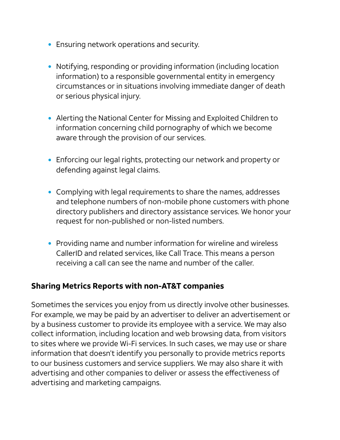- Ensuring network operations and security.
- Notifying, responding or providing information (including location information) to a responsible governmental entity in emergency circumstances or in situations involving immediate danger of death or serious physical injury.
- Alerting the National Center for Missing and Exploited Children to information concerning child pornography of which we become aware through the provision of our services.
- Enforcing our legal rights, protecting our network and property or defending against legal claims.
- Complying with legal requirements to share the names, addresses and telephone numbers of non-mobile phone customers with phone directory publishers and directory assistance services. We honor your request for non-published or non-listed numbers.
- Providing name and number information for wireline and wireless CallerID and related services, like Call Trace. This means a person receiving a call can see the name and number of the caller.

#### Sharing Metrics Reports with non-AT&T companies

Sometimes the services you enjoy from us directly involve other businesses. For example, we may be paid by an advertiser to deliver an advertisement or by a business customer to provide its employee with a service. We may also collect information, including location and web browsing data, from visitors to sites where we provide Wi-Fi services. In such cases, we may use or share information that doesn't identify you personally to provide metrics reports to our business customers and service suppliers. We may also share it with advertising and other companies to deliver or assess the effectiveness of advertising and marketing campaigns.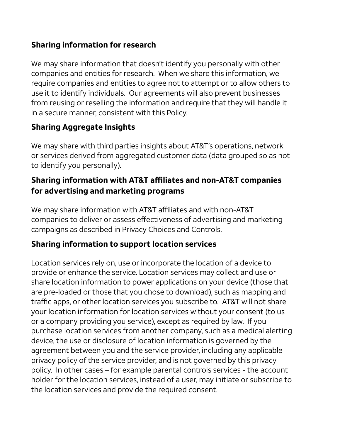#### Sharing information for research

We may share information that doesn't identify you personally with other companies and entities for research. When we share this information, we require companies and entities to agree not to attempt or to allow others to use it to identify individuals. Our agreements will also prevent businesses from reusing or reselling the information and require that they will handle it in a secure manner, consistent with this Policy.

## Sharing Aggregate Insights

We may share with third parties insights about AT&T's operations, network or services derived from aggregated customer data (data grouped so as not to identify you personally).

#### Sharing information with AT&T affiliates and non-AT&T companies for advertising and marketing programs

We may share information with AT&T affiliates and with non-AT&T companies to deliver or assess effectiveness of advertising and marketing campaigns as described in Privacy Choices and Controls.

## Sharing information to support location services

Location services rely on, use or incorporate the location of a device to provide or enhance the service. Location services may collect and use or share location information to power applications on your device (those that are pre-loaded or those that you chose to download), such as mapping and traffic apps, or other location services you subscribe to. AT&T will not share your location information for location services without your consent (to us or a company providing you service), except as required by law. If you purchase location services from another company, such as a medical alerting device, the use or disclosure of location information is governed by the agreement between you and the service provider, including any applicable privacy policy of the service provider, and is not governed by this privacy policy*.* In other cases – for example parental controls services - the account holder for the location services, instead of a user, may initiate or subscribe to the location services and provide the required consent.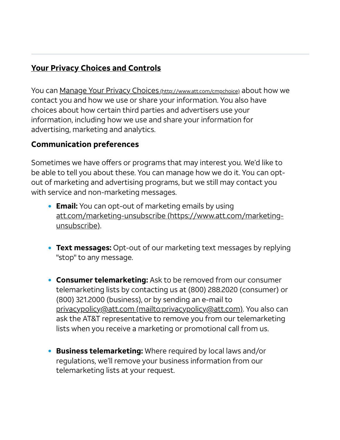## <span id="page-10-0"></span>Your Privacy Choices and Controls

You can Manage Your Privacy Choices [\(http://www.att.com/cmpchoice\)](http://www.att.com/cmpchoice) about how we contact you and how we use or share your information. You also have choices about how certain third parties and advertisers use your information, including how we use and share your information for advertising, marketing and analytics.

#### Communication preferences

Sometimes we have offers or programs that may interest you. We'd like to be able to tell you about these. You can manage how we do it. You can optout of marketing and advertising programs, but we still may contact you with service and non-marketing messages.

- **Email:** You can opt-out of marketing emails by using att.com/marketing-unsubscribe [\(https://www.att.com/marketing](https://www.att.com/marketing-unsubscribe)unsubscribe).
- Text messages: Opt-out of our marketing text messages by replying "stop" to any message.
- **Consumer telemarketing:** Ask to be removed from our consumer telemarketing lists by contacting us at (800) 288.2020 (consumer) or (800) 321.2000 (business), or by sending an e-mail to privacypolicy@att.com [\(mailto:privacypolicy@att.com\)](mailto:privacypolicy@att.com). You also can ask the AT&T representative to remove you from our telemarketing lists when you receive a marketing or promotional call from us.
- Business telemarketing: Where required by local laws and/or regulations, we'll remove your business information from our telemarketing lists at your request.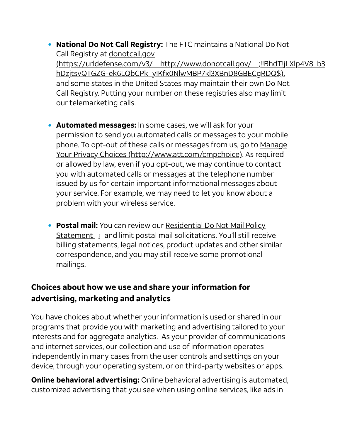- National Do Not Call Registry: The FTC maintains a National Do Not Call Registry at donotcall.gov [\(https://urldefense.com/v3/\\_\\_http://www.donotcall.gov/\\_\\_;!!BhdT!jLXlp4V8\\_b3](https://urldefense.com/v3/__http://www.donotcall.gov/__;!!BhdT!jLXlp4V8_b3zmJJyUYsFsZo8YWK1N-hDzjtsvQTGZG-ek6LQbCPk_yIKfx0NlwMBP7kl3XBnD8GBECgRDQ$) hDzjtsvQTGZG-ek6LQbCPk\_yIKfx0NlwMBP7kl3XBnD8GBECgRDQ\$), and some states in the United States may maintain their own Do Not Call Registry. Putting your number on these registries also may limit our telemarketing calls.
- Automated messages: In some cases, we will ask for your permission to send you automated calls or messages to your mobile phone. To opt-out of these calls or messages from us, go to Manage Your Privacy Choices [\(http://www.att.com/cmpchoice\).](http://www.att.com/cmpchoice) As required or allowed by law, even if you opt-out, we may continue to contact you with automated calls or messages at the telephone number issued by us for certain important informational messages about your service. For example, we may need to let you know about a problem with your wireless service.
- Postal mail: You can review our Residential Do Not Mail Policy Statement *i* and limit postal mail solicitations. You'll still receive billing statements, legal notices, product updates and other similar correspondence, and you may still receive some promotional mailings.

#### Choices about how we use and share your information for advertising, marketing and analytics

You have choices about whether your information is used or shared in our programs that provide you with marketing and advertising tailored to your interests and for aggregate analytics. As your provider of communications and internet services, our collection and use of information operates independently in many cases from the user controls and settings on your device, through your operating system, or on third-party websites or apps.

Online behavioral advertising: Online behavioral advertising is automated, customized advertising that you see when using online services, like ads in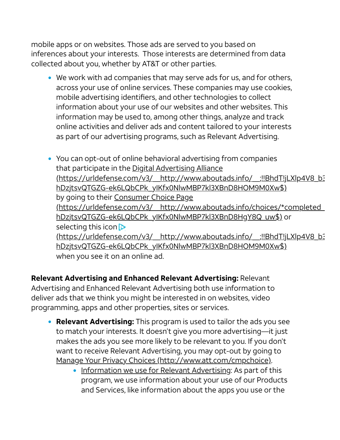mobile apps or on websites. Those ads are served to you based on inferences about your interests. Those interests are determined from data collected about you, whether by AT&T or other parties.

We work with ad companies that may serve ads for us, and for others, across your use of online services. These companies may use cookies, mobile advertising identifiers, and other technologies to collect information about your use of our websites and other websites. This information may be used to, among other things, analyze and track online activities and deliver ads and content tailored to your interests as part of our advertising programs, such as Relevant Advertising.

You can opt-out of online behavioral advertising from companies that participate in the Digital Advertising Alliance [\(https://urldefense.com/v3/\\_\\_http://www.aboutads.info/\\_\\_;!!BhdT!jLXlp4V8\\_b3](https://urldefense.com/v3/__http://www.aboutads.info/__;!!BhdT!jLXlp4V8_b3zmJJyUYsFsZo8YWK1N-hDzjtsvQTGZG-ek6LQbCPk_yIKfx0NlwMBP7kl3XBnD8HOM9M0Xw$) hDzjtsvQTGZG-ek6LQbCPk\_yIKfx0NlwMBP7kl3XBnD8HOM9M0Xw\$) by going to their Consumer Choice Page [\(https://urldefense.com/v3/\\_\\_http://www.aboutads.info/choices/\\*completed\\_](https://urldefense.com/v3/__http://www.aboutads.info/choices/*completed__;Iw!!BhdT!jLXlp4V8_b3zmJJyUYsFsZo8YWK1N-hDzjtsvQTGZG-ek6LQbCPk_yIKfx0NlwMBP7kl3XBnD8HgY8Q_uw$) hDzjtsvQTGZG-ek6LQbCPk\_yIKfx0NlwMBP7kl3XBnD8HqY8Q\_uw\$) or selecting this icon  $\triangleright$ [\(https://urldefense.com/v3/\\_\\_http://www.aboutads.info/\\_\\_;!!BhdT!jLXlp4V8\\_b3](https://urldefense.com/v3/__http://www.aboutads.info/__;!!BhdT!jLXlp4V8_b3zmJJyUYsFsZo8YWK1N-hDzjtsvQTGZG-ek6LQbCPk_yIKfx0NlwMBP7kl3XBnD8HOM9M0Xw$) hDzjtsvQTGZG-ek6LQbCPk\_yIKfx0NlwMBP7kl3XBnD8HOM9M0Xw\$) when you see it on an online ad.

Relevant Advertising and Enhanced Relevant Advertising: Relevant Advertising and Enhanced Relevant Advertising both use information to deliver ads that we think you might be interested in on websites, video programming, apps and other properties, sites or services.

- Relevant Advertising: This program is used to tailor the ads you see to match your interests. It doesn't give you more advertising—it just makes the ads you see more likely to be relevant to you. If you don't want to receive Relevant Advertising, you may opt-out by going to Manage Your Privacy Choices [\(http://www.att.com/cmpchoice\)](http://www.att.com/cmpchoice).
	- Information we use for Relevant Advertising: As part of this program, we use information about your use of our Products and Services, like information about the apps you use or the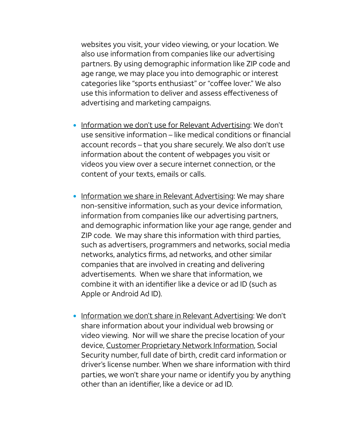websites you visit, your video viewing, or your location. We also use information from companies like our advertising partners. By using demographic information like ZIP code and age range, we may place you into demographic or interest categories like "sports enthusiast" or "coffee lover." We also use this information to deliver and assess effectiveness of advertising and marketing campaigns.

- Information we don't use for Relevant Advertising: We don't use sensitive information – like medical conditions or financial account records – that you share securely. We also don't use information about the content of webpages you visit or videos you view over a secure internet connection, or the content of your texts, emails or calls.
- Information we share in Relevant Advertising: We may share non-sensitive information, such as your device information, information from companies like our advertising partners, and demographic information like your age range, gender and ZIP code. We may share this information with third parties, such as advertisers, programmers and networks, social media networks, analytics firms, ad networks, and other similar companies that are involved in creating and delivering advertisements. When we share that information, we combine it with an identifier like a device or ad ID (such as Apple or Android Ad ID).
- Information we don't share in Relevant Advertising: We don't share information about your individual web browsing or video viewing. Nor will we share the precise location of your device, Customer Proprietary [Network Information](#page-28-0), Social Security number, full date of birth, credit card information or driver's license number. When we share information with third parties, we won't share your name or identify you by anything other than an identifier, like a device or ad ID.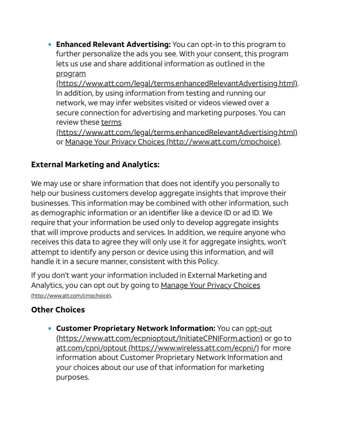**Enhanced Relevant Advertising:** You can opt-in to this program to further personalize the ads you see. With your consent, this program lets us use and share additional information as outlined in the program

[\(https://www.att.com/legal/terms.enhancedRelevantAdvertising.html\).](https://www.att.com/legal/terms.enhancedRelevantAdvertising.html) In addition, by using information from testing and running our network, we may infer websites visited or videos viewed over a secure connection for advertising and marketing purposes. You can review these terms

[\(https://www.att.com/legal/terms.enhancedRelevantAdvertising.html\)](https://www.att.com/legal/terms.enhancedRelevantAdvertising.html) or Manage Your Privacy Choices [\(http://www.att.com/cmpchoice\).](http://www.att.com/cmpchoice)

## External Marketing and Analytics:

We may use or share information that does not identify you personally to help our business customers develop aggregate insights that improve their businesses. This information may be combined with other information, such as demographic information or an identifier like a device ID or ad ID. We require that your information be used only to develop aggregate insights that will improve products and services. In addition, we require anyone who receives this data to agree they will only use it for aggregate insights, won't attempt to identify any person or device using this information, and will handle it in a secure manner, consistent with this Policy.

If you don't want your information included in External Marketing and Analytics, you can opt out by going to Manage Your Privacy Choices [\(http://www.att.com/cmpchoice\)](http://www.att.com/cmpchoice).

## Other Choices

**Customer Proprietary Network Information:** You can **opt-out** [\(https://www.att.com/ecpnioptout/InitiateCPNIForm.action\)](https://www.att.com/ecpnioptout/InitiateCPNIForm.action) or go to att.com/cpni/optout [\(https://www.wireless.att.com/ecpni/\)](https://www.wireless.att.com/ecpni/) for more information about Customer Proprietary Network Information and your choices about our use of that information for marketing purposes.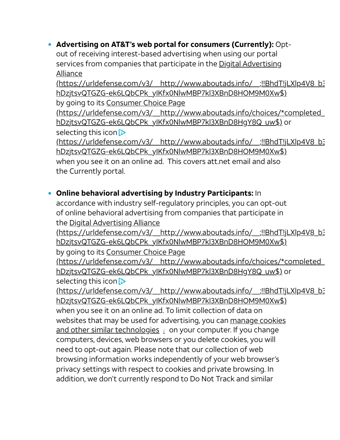#### Advertising on AT&T's web portal for consumers (Currently): Opt-

out of receiving interest-based advertising when using our portal services from companies that participate in the Digital Advertising Alliance

[\(https://urldefense.com/v3/\\_\\_http://www.aboutads.info/\\_\\_;!!BhdT!jLXlp4V8\\_b3](https://urldefense.com/v3/__http://www.aboutads.info/__;!!BhdT!jLXlp4V8_b3zmJJyUYsFsZo8YWK1N-hDzjtsvQTGZG-ek6LQbCPk_yIKfx0NlwMBP7kl3XBnD8HOM9M0Xw$) hDzjtsvQTGZG-ek6LQbCPk\_yIKfx0NlwMBP7kl3XBnD8HOM9M0Xw\$)

by going to its Consumer Choice Page

[\(https://urldefense.com/v3/\\_\\_http://www.aboutads.info/choices/\\*completed\\_](https://urldefense.com/v3/__http://www.aboutads.info/choices/*completed__;Iw!!BhdT!jLXlp4V8_b3zmJJyUYsFsZo8YWK1N-hDzjtsvQTGZG-ek6LQbCPk_yIKfx0NlwMBP7kl3XBnD8HgY8Q_uw$) hDzjtsvQTGZG-ek6LQbCPk\_yIKfx0NlwMBP7kl3XBnD8HgY8Q\_uw\$) or selecting this icon  $\triangleright$ 

[\(https://urldefense.com/v3/\\_\\_http://www.aboutads.info/\\_\\_;!!BhdT!jLXlp4V8\\_b3](https://urldefense.com/v3/__http://www.aboutads.info/__;!!BhdT!jLXlp4V8_b3zmJJyUYsFsZo8YWK1N-hDzjtsvQTGZG-ek6LQbCPk_yIKfx0NlwMBP7kl3XBnD8HOM9M0Xw$) hDzjtsvQTGZG-ek6LQbCPk\_yIKfx0NlwMBP7kl3XBnD8HOM9M0Xw\$)

when you see it on an online ad. This covers att.net email and also the Currently portal.

#### Online behavioral advertising by Industry Participants: In

accordance with industry self-regulatory principles, you can opt-out of online behavioral advertising from companies that participate in the Digital Advertising Alliance

[\(https://urldefense.com/v3/\\_\\_http://www.aboutads.info/\\_\\_;!!BhdT!jLXlp4V8\\_b3](https://urldefense.com/v3/__http://www.aboutads.info/__;!!BhdT!jLXlp4V8_b3zmJJyUYsFsZo8YWK1N-hDzjtsvQTGZG-ek6LQbCPk_yIKfx0NlwMBP7kl3XBnD8HOM9M0Xw$) hDzjtsvQTGZG-ek6LQbCPk\_yIKfx0NlwMBP7kl3XBnD8HOM9M0Xw\$)

by going to its Consumer Choice Page

[\(https://urldefense.com/v3/\\_\\_http://www.aboutads.info/choices/\\*completed\\_](https://urldefense.com/v3/__http://www.aboutads.info/choices/*completed__;Iw!!BhdT!jLXlp4V8_b3zmJJyUYsFsZo8YWK1N-hDzjtsvQTGZG-ek6LQbCPk_yIKfx0NlwMBP7kl3XBnD8HgY8Q_uw$) hDzjtsvQTGZG-ek6LQbCPk\_yIKfx0NlwMBP7kl3XBnD8HgY8Q\_uw\$) or selecting this icon **D** 

[\(https://urldefense.com/v3/\\_\\_http://www.aboutads.info/\\_\\_;!!BhdT!jLXlp4V8\\_b3](https://urldefense.com/v3/__http://www.aboutads.info/__;!!BhdT!jLXlp4V8_b3zmJJyUYsFsZo8YWK1N-hDzjtsvQTGZG-ek6LQbCPk_yIKfx0NlwMBP7kl3XBnD8HOM9M0Xw$) hDzjtsvQTGZG-ek6LQbCPk\_yIKfx0NlwMBP7kl3XBnD8HOM9M0Xw\$) when you see it on an online ad. To limit collection of data on websites that may be used for advertising, you can manage cookies and other similar technologies *i* on your computer. If you change computers, devices, web browsers or you delete cookies, you will need to opt-out again. Please note that our collection of web browsing information works independently of your web browser's privacy settings with respect to cookies and private browsing. In addition, we don't currently respond to Do Not Track and similar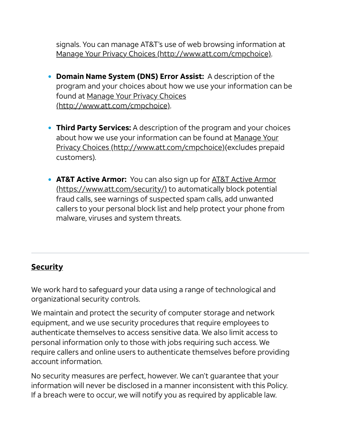signals. You can manage AT&T's use of web browsing information at Manage Your Privacy Choices [\(http://www.att.com/cmpchoice\)](http://www.att.com/cmpchoice).

- Domain Name System (DNS) Error Assist: A description of the program and your choices about how we use your information can be found at Manage Your Privacy Choices [\(http://www.att.com/cmpchoice\).](http://www.att.com/cmpchoice)
- Third Party Services: A description of the program and your choices about how we use your information can be found at Manage Your Privacy Choices [\(http://www.att.com/cmpchoice\)\(excludes](http://www.att.com/cmpchoice) prepaid customers).
- AT&T Active Armor: You can also sign up for **AT&T Active Armor** [\(https://www.att.com/security/\)](https://www.att.com/security/) to automatically block potential fraud calls, see warnings of suspected spam calls, add unwanted callers to your personal block list and help protect your phone from malware, viruses and system threats.

#### **Security**

We work hard to safeguard your data using a range of technological and organizational security controls.

We maintain and protect the security of computer storage and network equipment, and we use security procedures that require employees to authenticate themselves to access sensitive data. We also limit access to personal information only to those with jobs requiring such access. We require callers and online users to authenticate themselves before providing account information.

No security measures are perfect, however. We can't guarantee that your information will never be disclosed in a manner inconsistent with this Policy. If a breach were to occur, we will notify you as required by applicable law.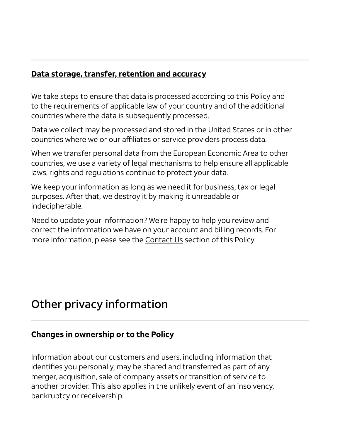#### Data storage, transfer, retention and accuracy

We take steps to ensure that data is processed according to this Policy and to the requirements of applicable law of your country and of the additional countries where the data is subsequently processed.

Data we collect may be processed and stored in the United States or in other countries where we or our affiliates or service providers process data.

When we transfer personal data from the European Economic Area to other countries, we use a variety of legal mechanisms to help ensure all applicable laws, rights and regulations continue to protect your data.

We keep your information as long as we need it for business, tax or legal purposes. After that, we destroy it by making it unreadable or indecipherable.

Need to update your information? We're happy to help you review and correct the information we have on your account and billing records. For more information, please see the [Contact](#page-29-0) Us section of this Policy.

## Other privacy information

#### Changes in ownership or to the Policy

Information about our customers and users, including information that identifies you personally, may be shared and transferred as part of any merger, acquisition, sale of company assets or transition of service to another provider. This also applies in the unlikely event of an insolvency, bankruptcy or receivership.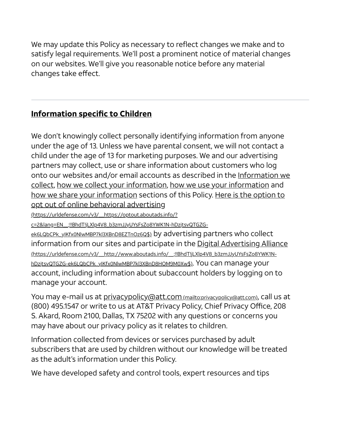We may update this Policy as necessary to reflect changes we make and to satisfy legal requirements. We'll post a prominent notice of material changes on our websites. We'll give you reasonable notice before any material changes take effect.

## Information specific to Children

We don't knowingly collect personally identifying information from anyone under the age of 13. Unless we have parental consent, we will not contact a child under the age of 13 for marketing purposes. We and our advertising partners may collect, use or share information about customers who log onto our websites and/or email accounts as described in the Information we collect, how we collect your [information,](#page-2-0) how we use your [information](#page-4-0) and how we share your [information](#page-6-0) sections of this Policy. Here is the option to opt out of online behavioral advertising

(https://urldefense.com/v3/\_\_https://optout.aboutads.info/?

[c=2&lang=EN\\_\\_;!!BhdT!jLXlp4V8\\_b3zmJJyUYsFsZo8YWK1N-hDzjtsvQTGZG-](https://urldefense.com/v3/__https://optout.aboutads.info/?c=2&lang=EN__;!!BhdT!jLXlp4V8_b3zmJJyUYsFsZo8YWK1N-hDzjtsvQTGZG-ek6LQbCPk_yIKfx0NlwMBP7kl3XBnD8EZTnOz6Q$)

ek6LQbCPk\_yIKfx0NlwMBP7kl3XBnD8EZTnOz6Q\$) by advertising partners who collect information from our sites and participate in the <u>Digital Advertising Alliance</u> [\(https://urldefense.com/v3/\\_\\_http://www.aboutads.info/\\_\\_;!!BhdT!jLXlp4V8\\_b3zmJJyUYsFsZo8YWK1N](https://urldefense.com/v3/__http://www.aboutads.info/__;!!BhdT!jLXlp4V8_b3zmJJyUYsFsZo8YWK1N-hDzjtsvQTGZG-ek6LQbCPk_yIKfx0NlwMBP7kl3XBnD8HOM9M0Xw$)hDzjtsvQTGZG-ek6LQbCPk\_yIKfx0NlwMBP7kl3XBnD8HOM9M0Xw\$). You can manage your account, including information about subaccount holders by logging on to manage your account.

You may e-mail us at [privacypolicy@att.com](mailto:privacypolicy@att.com) (mailto:privacypolicy@att.com), call us at (800) 495.1547 or write to us at AT&T Privacy Policy, Chief Privacy Office, 208 S. Akard, Room 2100, Dallas, TX 75202 with any questions or concerns you may have about our privacy policy as it relates to children.

Information collected from devices or services purchased by adult subscribers that are used by children without our knowledge will be treated as the adult's information under this Policy.

We have developed safety and control tools, expert resources and tips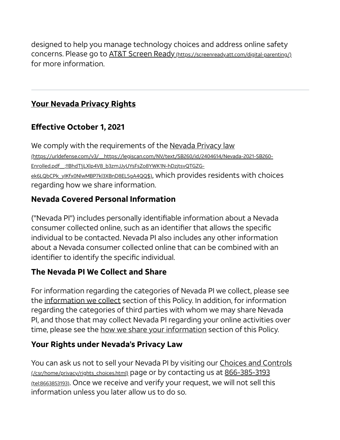designed to help you manage technology choices and address online safety concerns. Please go to AT&T Screen Ready [\(https://screenready.att.com/digital-parenting/\)](https://screenready.att.com/digital-parenting/) for more information.

## Your Nevada Privacy Rights

## Effective October 1, 2021

We comply with the requirements of the Nevada Privacy law [\(https://urldefense.com/v3/\\_\\_https://legiscan.com/NV/text/SB260/id/2404614/Nevada-2021-SB260-](https://urldefense.com/v3/__https://legiscan.com/NV/text/SB260/id/2404614/Nevada-2021-SB260-Enrolled.pdf__;!!BhdT!jLXlp4V8_b3zmJJyUYsFsZo8YWK1N-hDzjtsvQTGZG-ek6LQbCPk_yIKfx0NlwMBP7kl3XBnD8EL5gA4QQ$) Enrolled.pdf\_\_;!!BhdT!jLXlp4V8\_b3zmJJyUYsFsZo8YWK1N-hDzjtsvQTGZGek6LQbCPk\_yIKfx0NlwMBP7kl3XBnD8EL5qA4QQ\$), which provides residents with choices regarding how we share information.

## Nevada Covered Personal Information

("Nevada PI") includes personally identifiable information about a Nevada consumer collected online, such as an identifier that allows the specific individual to be contacted. Nevada PI also includes any other information about a Nevada consumer collected online that can be combined with an identifier to identify the specific individual.

#### The Nevada PI We Collect and Share

For information regarding the categories of Nevada PI we collect, please see the [information](#page-2-0) we collect section of this Policy. In addition, for information regarding the categories of third parties with whom we may share Nevada PI, and those that may collect Nevada PI regarding your online activities over time, please see the how we share your [information](#page-6-0) section of this Policy.

#### Your Rights under Nevada's Privacy Law

You can ask us not to sell your Nevada PI by visiting our Choices and Controls [\(/csr/home/privacy/rights\\_choices.html\)](https://about.att.com/csr/home/privacy/rights_choices.html) page or by contacting us at 866-385-3193 (tel:8663853193). Once we receive and verify your request, we will not sell this information unless you later allow us to do so.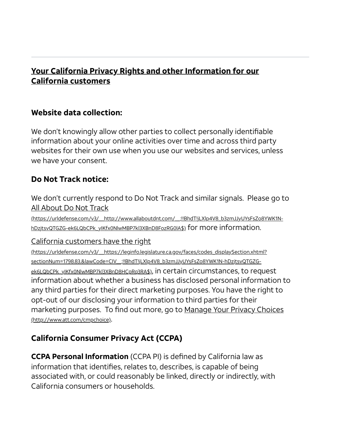#### Your California Privacy Rights and other Information for our California customers

#### Website data collection:

We don't knowingly allow other parties to collect personally identifiable information about your online activities over time and across third party websites for their own use when you use our websites and services, unless we have your consent.

#### Do Not Track notice:

We don't currently respond to Do Not Track and similar signals. Please go to All About Do Not Track

[\(https://urldefense.com/v3/\\_\\_http://www.allaboutdnt.com/\\_\\_;!!BhdT!jLXlp4V8\\_b3zmJJyUYsFsZo8YWK1N](https://urldefense.com/v3/__http://www.allaboutdnt.com/__;!!BhdT!jLXlp4V8_b3zmJJyUYsFsZo8YWK1N-hDzjtsvQTGZG-ek6LQbCPk_yIKfx0NlwMBP7kl3XBnD8FozRG0lA$)hDzjtsvQTGZG-ek6LQbCPk\_yIKfx0NlwMBP7kl3XBnD8FozRG0IA\$) for more information.

California customers have the right

[\(https://urldefense.com/v3/\\_\\_https://leginfo.legislature.ca.gov/faces/codes\\_displaySection.xhtml?](https://urldefense.com/v3/__https://leginfo.legislature.ca.gov/faces/codes_displaySection.xhtml?sectionNum=1798.83.&lawCode=CIV__;!!BhdT!jLXlp4V8_b3zmJJyUYsFsZo8YWK1N-hDzjtsvQTGZG-ek6LQbCPk_yIKfx0NlwMBP7kl3XBnD8HCpRq3RA$) sectionNum=1798.83.&lawCode=CIV\_\_;!!BhdT!jLXlp4V8\_b3zmJJyUYsFsZo8YWK1N-hDzjtsvQTGZGek6LQbCPk\_yIKfx0NlwMBP7kl3XBnD8HCpRq3RA\$), in certain circumstances, to request information about whether a business has disclosed personal information to any third parties for their direct marketing purposes. You have the right to opt-out of our disclosing your information to third parties for their marketing purposes. To find out more, go to Manage Your Privacy Choices [\(http://www.att.com/cmpchoice\)](http://www.att.com/cmpchoice).

## California Consumer Privacy Act (CCPA)

CCPA Personal Information (CCPA PI) is defined by California law as information that identifies, relates to, describes, is capable of being associated with, or could reasonably be linked, directly or indirectly, with California consumers or households.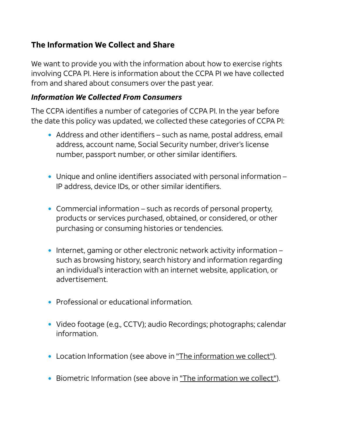#### The Information We Collect and Share

We want to provide you with the information about how to exercise rights involving CCPA PI. Here is information about the CCPA PI we have collected from and shared about consumers over the past year.

#### *Information We Collected From Consumers*

The CCPA identifies a number of categories of CCPA PI. In the year before the date this policy was updated, we collected these categories of CCPA PI:

- Address and other identifiers such as name, postal address, email address, account name, Social Security number, driver's license number, passport number, or other similar identifiers.
- Unique and online identifiers associated with personal information IP address, device IDs, or other similar identifiers.
- Commercial information such as records of personal property, products or services purchased, obtained, or considered, or other purchasing or consuming histories or tendencies.
- Internet, gaming or other electronic network activity information such as browsing history, search history and information regarding an individual's interaction with an internet website, application, or advertisement.
- Professional or educational information.
- Video footage (e.g., CCTV); audio Recordings; photographs; calendar information.
- Location Information (see above in "The [information](#page-2-0) we collect").
- Biometric Information (see above in "The [information](#page-2-0) we collect").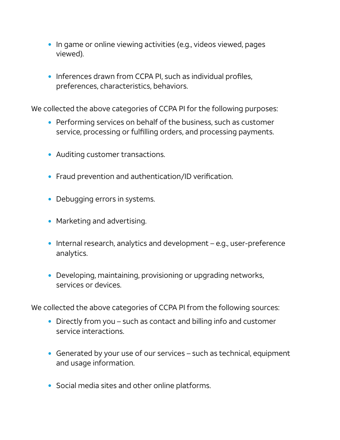- In game or online viewing activities (e.g., videos viewed, pages viewed).
- Inferences drawn from CCPA PI, such as individual profiles, preferences, characteristics, behaviors.

We collected the above categories of CCPA PI for the following purposes:

- Performing services on behalf of the business, such as customer service, processing or fulfilling orders, and processing payments.
- Auditing customer transactions.
- Fraud prevention and authentication/ID verification.
- Debugging errors in systems.
- Marketing and advertising.
- Internal research, analytics and development e.g., user-preference analytics.
- Developing, maintaining, provisioning or upgrading networks, services or devices.

We collected the above categories of CCPA PI from the following sources:

- Directly from you such as contact and billing info and customer service interactions.
- Generated by your use of our services such as technical, equipment and usage information.
- Social media sites and other online platforms.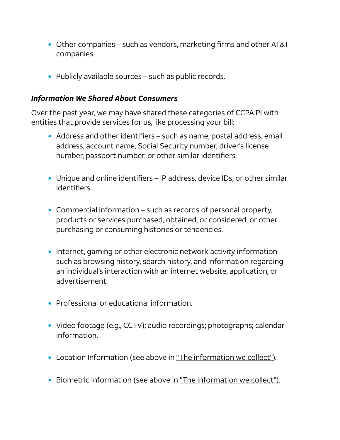- Other companies such as vendors, marketing firms and other AT&T companies.
- Publicly available sources such as public records.

#### *Information We Shared About Consumers*

Over the past year, we may have shared these categories of CCPA PI with entities that provide services for us, like processing your bill:

- Address and other identifiers such as name, postal address, email address, account name, Social Security number, driver's license number, passport number, or other similar identifiers.
- Unique and online identifiers IP address, device IDs, or other similar identifiers.
- Commercial information such as records of personal property, products or services purchased, obtained, or considered, or other purchasing or consuming histories or tendencies.
- Internet, gaming or other electronic network activity information such as browsing history, search history, and information regarding an individual's interaction with an internet website, application, or advertisement.
- Professional or educational information.
- Video footage (e.g., CCTV); audio recordings; photographs; calendar information.
- Location Information (see above in "The [information](#page-2-0) we collect").
- Biometric Information (see above in "The [information](#page-2-0) we collect").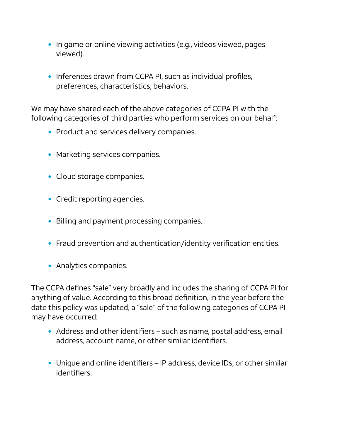- In game or online viewing activities (e.g., videos viewed, pages viewed).
- Inferences drawn from CCPA PI, such as individual profiles, preferences, characteristics, behaviors.

We may have shared each of the above categories of CCPA PI with the following categories of third parties who perform services on our behalf:

- Product and services delivery companies.
- Marketing services companies.
- Cloud storage companies.
- Credit reporting agencies.
- Billing and payment processing companies.
- Fraud prevention and authentication/identity verification entities.
- Analytics companies.

The CCPA defines "sale" very broadly and includes the sharing of CCPA PI for anything of value. According to this broad definition, in the year before the date this policy was updated, a "sale" of the following categories of CCPA PI may have occurred:

- Address and other identifiers such as name, postal address, email address, account name, or other similar identifiers.
- Unique and online identifiers IP address, device IDs, or other similar identifiers.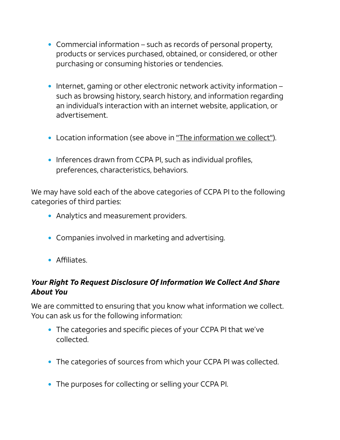- Commercial information such as records of personal property, products or services purchased, obtained, or considered, or other purchasing or consuming histories or tendencies.
- Internet, gaming or other electronic network activity information such as browsing history, search history, and information regarding an individual's interaction with an internet website, application, or advertisement.
- Location [information](#page-2-0) (see above in "The information we collect").
- Inferences drawn from CCPA PI, such as individual profiles, preferences, characteristics, behaviors.

We may have sold each of the above categories of CCPA PI to the following categories of third parties:

- Analytics and measurement providers.
- Companies involved in marketing and advertising.
- Affiliates.

#### *Your Right To Request Disclosure Of Information We Collect And Share About You*

We are committed to ensuring that you know what information we collect. You can ask us for the following information:

- The categories and specific pieces of your CCPA PI that we've collected.
- The categories of sources from which your CCPA PI was collected.
- The purposes for collecting or selling your CCPA PI.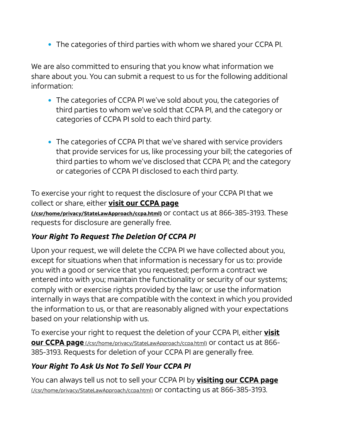The categories of third parties with whom we shared your CCPA PI.

We are also committed to ensuring that you know what information we share about you. You can submit a request to us for the following additional information:

- The categories of CCPA PI we've sold about you, the categories of third parties to whom we've sold that CCPA PI, and the category or categories of CCPA PI sold to each third party.
- The categories of CCPA PI that we've shared with service providers that provide services for us, like processing your bill; the categories of third parties to whom we've disclosed that CCPA PI; and the category or categories of CCPA PI disclosed to each third party.

To exercise your right to request the disclosure of your CCPA PI that we collect or share, either visit our CCPA page [\(/csr/home/privacy/StateLawApproach/ccpa.html\)](https://about.att.com/csr/home/privacy/StateLawApproach/ccpa.html) or contact us at 866-385-3193. These requests for disclosure are generally free.

#### *Your Right To Request The Deletion Of CCPA PI*

Upon your request, we will delete the CCPA PI we have collected about you, except for situations when that information is necessary for us to: provide you with a good or service that you requested; perform a contract we entered into with you; maintain the functionality or security of our systems; comply with or exercise rights provided by the law; or use the information internally in ways that are compatible with the context in which you provided the information to us, or that are reasonably aligned with your expectations based on your relationship with us.

To exercise your right to request the deletion of your CCPA PI, either **visit** our CCPA page [\(/csr/home/privacy/StateLawApproach/ccpa.html\)](https://about.att.com/csr/home/privacy/StateLawApproach/ccpa.html) or contact us at 866-385-3193. Requests for deletion of your CCPA PI are generally free.

## *Your Right To Ask Us Not To Sell Your CCPA PI*

You can always tell us not to sell your CCPA PI by **visiting our CCPA page** [\(/csr/home/privacy/StateLawApproach/ccpa.html\)](https://about.att.com/csr/home/privacy/StateLawApproach/ccpa.html) or contacting us at 866-385-3193.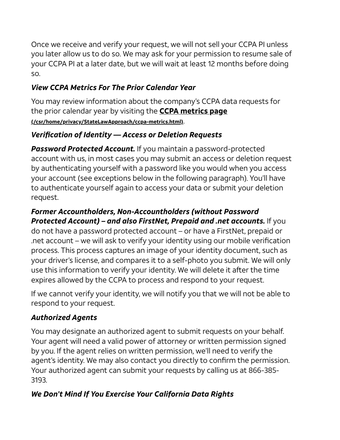Once we receive and verify your request, we will not sell your CCPA PI unless you later allow us to do so. We may ask for your permission to resume sale of your CCPA PI at a later date, but we will wait at least 12 months before doing so.

## *View CCPA Metrics For The Prior Calendar Year*

You may review information about the company's CCPA data requests for the prior calendar year by visiting the **CCPA metrics page** [\(/csr/home/privacy/StateLawApproach/ccpa-metrics.html\)](https://about.att.com/csr/home/privacy/StateLawApproach/ccpa-metrics.html).

#### *Verification of Identity — Access or Deletion Requests*

*Password Protected Account.* If you maintain a password-protected account with us, in most cases you may submit an access or deletion request by authenticating yourself with a password like you would when you access your account (see exceptions below in the following paragraph). You'll have to authenticate yourself again to access your data or submit your deletion request.

#### *Former Accountholders, Non-Accountholders (without Password Protected Account) – and also FirstNet, Prepaid and .net accounts.* If you do not have a password protected account – or have a FirstNet, prepaid or .net account – we will ask to verify your identity using our mobile verification process. This process captures an image of your identity document, such as your driver's license, and compares it to a self-photo you submit. We will only use this information to verify your identity. We will delete it after the time expires allowed by the CCPA to process and respond to your request.

If we cannot verify your identity, we will notify you that we will not be able to respond to your request.

## *Authorized Agents*

You may designate an authorized agent to submit requests on your behalf. Your agent will need a valid power of attorney or written permission signed by you. If the agent relies on written permission, we'll need to verify the agent's identity. We may also contact you directly to confirm the permission. Your authorized agent can submit your requests by calling us at 866-385- 3193.

## *We Don't Mind If You Exercise Your California Data Rights*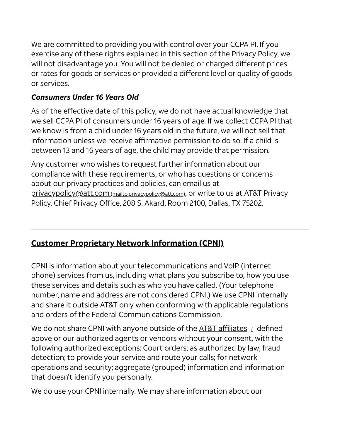We are committed to providing you with control over your CCPA PI. If you exercise any of these rights explained in this section of the Privacy Policy, we will not disadvantage you. You will not be denied or charged different prices or rates for goods or services or provided a different level or quality of goods or services.

#### *Consumers Under 16 Years Old*

As of the effective date of this policy, we do not have actual knowledge that we sell CCPA PI of consumers under 16 years of age. If we collect CCPA PI that we know is from a child under 16 years old in the future, we will not sell that information unless we receive affirmative permission to do so. If a child is between 13 and 16 years of age, the child may provide that permission.

Any customer who wishes to request further information about our compliance with these requirements, or who has questions or concerns about our privacy practices and policies, can email us at [privacypolicy@att.com](mailto:privacypolicy@att.com) (mailto:privacypolicy@att.com), or write to us at AT&T Privacy Policy, Chief Privacy Office, 208 S. Akard, Room 2100, Dallas, TX 75202.

## <span id="page-28-0"></span>Customer Proprietary Network Information (CPNI)

CPNI is information about your telecommunications and VoIP (internet phone) services from us, including what plans you subscribe to, how you use these services and details such as who you have called. (Your telephone number, name and address are not considered CPNI.) We use CPNI internally and share it outside AT&T only when conforming with applicable regulations and orders of the Federal Communications Commission.

We do not share CPNI with anyone outside of the AT&T affiliates *i* defined above or our authorized agents or vendors without your consent, with the following authorized exceptions: Court orders; as authorized by law; fraud detection; to provide your service and route your calls; for network operations and security; aggregate (grouped) information and information that doesn't identify you personally.

We do use your CPNI internally. We may share information about our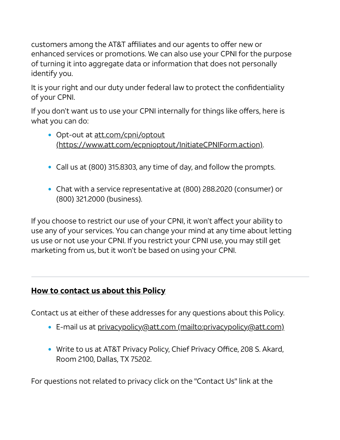customers among the AT&T affiliates and our agents to offer new or enhanced services or promotions. We can also use your CPNI for the purpose of turning it into aggregate data or information that does not personally identify you.

It is your right and our duty under federal law to protect the confidentiality of your CPNI.

If you don't want us to use your CPNI internally for things like offers, here is what you can do:

- Opt-out at att.com/cpni/optout [\(https://www.att.com/ecpnioptout/InitiateCPNIForm.action\)](https://www.att.com/ecpnioptout/InitiateCPNIForm.action).
- Call us at (800) 315.8303, any time of day, and follow the prompts.
- Chat with a service representative at (800) 288.2020 (consumer) or (800) 321.2000 (business).

If you choose to restrict our use of your CPNI, it won't affect your ability to use any of your services. You can change your mind at any time about letting us use or not use your CPNI. If you restrict your CPNI use, you may still get marketing from us, but it won't be based on using your CPNI.

#### <span id="page-29-0"></span>How to contact us about this Policy

Contact us at either of these addresses for any questions about this Policy.

- E-mail us at privacypolicy@att.com [\(mailto:privacypolicy@att.com\)](mailto:privacypolicy@att.com)
- Write to us at AT&T Privacy Policy, Chief Privacy Office, 208 S. Akard, Room 2100, Dallas, TX 75202.

For questions not related to privacy click on the "Contact Us" link at the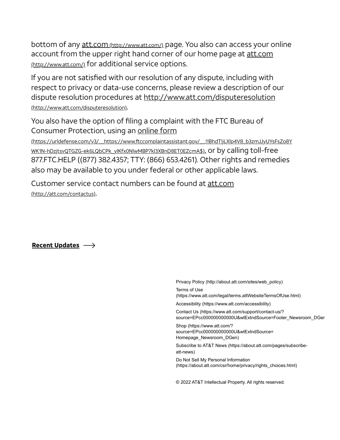bottom of any att.com [\(http://www.att.com/\)](http://www.att.com/) page. You also can access your online account from the upper right hand corner of our home page at att.com [\(http://www.att.com/\)](http://www.att.com/) for additional service options.

If you are not satisfied with our resolution of any dispute, including with respect to privacy or data-use concerns, please review a description of our dispute resolution procedures at <http://www.att.com/disputeresolution> (http://www.att.com/disputeresolution).

You also have the option of filing a complaint with the FTC Bureau of Consumer Protection, using an online form

[\(https://urldefense.com/v3/\\_\\_https://www.ftccomplaintassistant.gov/\\_\\_;!!BhdT!jLXlp4V8\\_b3zmJJyUYsFsZo8Y](https://urldefense.com/v3/__https://www.ftccomplaintassistant.gov/__;!!BhdT!jLXlp4V8_b3zmJJyUYsFsZo8YWK1N-hDzjtsvQTGZG-ek6LQbCPk_yIKfx0NlwMBP7kl3XBnD8ET0EZcmA$) WK1N-hDzjtsvQTGZG-ek6LQbCPk\_yIKfx0NlwMBP7kl3XBnD8ET0EZcmA\$), or by calling toll-free 877.FTC.HELP ((877) 382.4357; TTY: (866) 653.4261). Other rights and remedies also may be available to you under federal or other applicable laws.

Customer service contact numbers can be found at att.com [\(http://att.com/contactus\)](http://att.com/contactus).

Recent Updates  $\longrightarrow$ 

[Privacy Policy \(http://about.att.com/sites/web\\_policy\)](http://about.att.com/sites/web_policy)

Terms of Use [\(https://www.att.com/legal/terms.attWebsiteTermsOfUse.html\)](https://www.att.com/legal/terms.attWebsiteTermsOfUse.html)

[Accessibility \(https://www.att.com/accessibility\)](https://www.att.com/accessibility)

Contact Us (https://www.att.com/support/contact-us/? [source=EPcc000000000000U&wtExtndSource=Footer\\_Newsroom\\_DGen](https://www.att.com/support/contact-us/?source=EPcc000000000000U&wtExtndSource=Footer_Newsroom_DGen)

Shop (https://www.att.com/? [source=EPcc000000000000U&wtExtndSource=](https://www.att.com/?source=EPcc000000000000U&wtExtndSource=%20Homepage_Newsroom_DGen) Homepage\_Newsroom\_DGen)

[Subscribe to AT&T News \(https://about.att.com/pages/subscribe](https://about.att.com/pages/subscribe-att-news)att-news)

Do Not Sell My Personal Information [\(https://about.att.com/csr/home/privacy/rights\\_choices.html\)](https://about.att.com/csr/home/privacy/rights_choices.html)

© 2022 AT&T Intellectual Property. All rights reserved.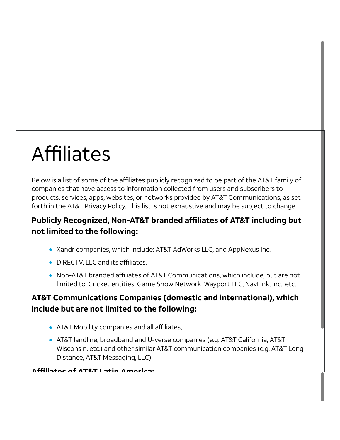# Affiliates

Below is a list of some of the affiliates publicly recognized to be part of the AT&T family of companies that have access to information collected from users and subscribers to products, services, apps, websites, or networks provided by AT&T Communications, as set forth in the AT&T Privacy Policy. This list is not exhaustive and may be subject to change.

#### Publicly Recognized, Non-AT&T branded affiliates of AT&T including but not limited to the following:

- Xandr companies, which include: AT&T AdWorks LLC, and AppNexus Inc.
- DIRECTV, LLC and its affiliates,
- Non-AT&T branded affiliates of AT&T Communications, which include, but are not limited to: Cricket entities, Game Show Network, Wayport LLC, NavLink, Inc., etc.

#### AT&T Communications Companies (domestic and international), which include but are not limited to the following:

- AT&T Mobility companies and all affiliates,
- AT&T landline, broadband and U-verse companies (e.g. AT&T California, AT&T Wisconsin, etc.) and other similar AT&T communication companies (e.g. AT&T Long Distance, AT&T Messaging, LLC)

Affiliates of AT&T Latin America: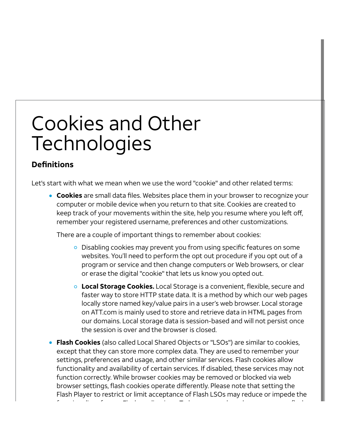## Cookies and Other **Technologies**

#### **Definitions**

Let's start with what we mean when we use the word "cookie" and other related terms:

**Cookies** are small data files. Websites place them in your browser to recognize your computer or mobile device when you return to that site. Cookies are created to keep track of your movements within the site, help you resume where you left off, remember your registered username, preferences and other customizations.

There are a couple of important things to remember about cookies:

- o Disabling cookies may prevent you from using specific features on some websites. You'll need to perform the opt out procedure if you opt out of a program or service and then change computers or Web browsers, or clear or erase the digital "cookie" that lets us know you opted out.
- **Local Storage Cookies.** Local Storage is a convenient, flexible, secure and faster way to store HTTP state data. It is a method by which our web pages locally store named key/value pairs in a user's web browser. Local storage on ATT.com is mainly used to store and retrieve data in HTML pages from our domains. Local storage data is session-based and will not persist once the session is over and the browser is closed.
- **Flash Cookies** (also called Local Shared Objects or "LSOs") are similar to cookies, except that they can store more complex data. They are used to remember your settings, preferences and usage, and other similar services. Flash cookies allow functionality and availability of certain services. If disabled, these services may not function correctly. While browser cookies may be removed or blocked via web browser settings, flash cookies operate differently. Please note that setting the Flash Player to restrict or limit acceptance of Flash LSOs may reduce or impede the f i li f h li f h li f h li f h li f h li f h li f h li f h li f h li f h li f h li f h li f h li f h li f h l<br>T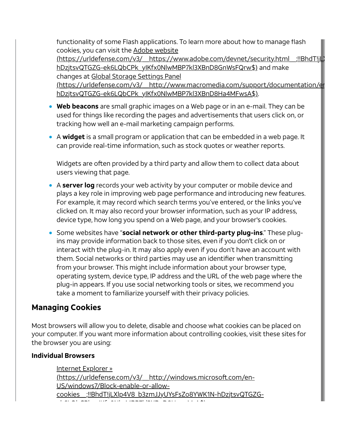functionality of some Flash applications. To learn more about how to manage flash cookies, you can visit the Adobe website

(https://urldefense.com/v3/\_\_https://www.adobe.com/devnet/security.html\_\_;!!BhdT!jl hDzjtsvQTGZG-ek6LQbCPk\_yIKfx0NlwMBP7kl3XBnD8GnWsFQrw\$) and make changes at Global Storage Settings Panel

[\(https://urldefense.com/v3/\\_\\_http://www.macromedia.com/support/documentation/en](https://urldefense.com/v3/__http://www.macromedia.com/support/documentation/en/flashplayer/help/settings_manager02.html__;!!BhdT!jLXlp4V8_b3zmJJyUYsFsZo8YWK1N-hDzjtsvQTGZG-ek6LQbCPk_yIKfx0NlwMBP7kl3XBnD8Ha4MFwsA$) hDzjtsvQTGZG-ek6LQbCPk\_yIKfx0NlwMBP7kl3XBnD8Ha4MFwsA\$).

- Web beacons are small graphic images on a Web page or in an e-mail. They can be used for things like recording the pages and advertisements that users click on, or tracking how well an e-mail marketing campaign performs.
- A widget is a small program or application that can be embedded in a web page. It can provide real-time information, such as stock quotes or weather reports.

Widgets are often provided by a third party and allow them to collect data about users viewing that page.

- A server log records your web activity by your computer or mobile device and plays a key role in improving web page performance and introducing new features. For example, it may record which search terms you've entered, or the links you've clicked on. It may also record your browser information, such as your IP address, device type, how long you spend on a Web page, and your browser's cookies.
- Some websites have "social network or other third-party plug-ins." These plugins may provide information back to those sites, even if you don't click on or interact with the plug-in. It may also apply even if you don't have an account with them. Social networks or third parties may use an identifier when transmitting from your browser. This might include information about your browser type, operating system, device type, IP address and the URL of the web page where the plug-in appears. If you use social networking tools or sites, we recommend you take a moment to familiarize yourself with their privacy policies.

#### Managing Cookies

Most browsers will allow you to delete, disable and choose what cookies can be placed on your computer. If you want more information about controlling cookies, visit these sites for the browser you are using:

#### Individual Browsers

Internet Explorer » (https://urldefense.com/v3/\_\_http://windows.microsoft.com/en-US/windows7/Block-enable-or-allow[cookies\\_\\_;!!BhdT!jLXlp4V8\\_b3zmJJyUYsFsZo8YWK1N-hDzjtsvQTGZG](https://urldefense.com/v3/__http://windows.microsoft.com/en-US/windows7/Block-enable-or-allow-cookies__;!!BhdT!jLXlp4V8_b3zmJJyUYsFsZo8YWK1N-hDzjtsvQTGZG-ek6LQbCPk_yIKfx0NlwMBP7kl3XBnD8HxtttM-A$)kee al aan die Afrikaanse partie van die Afrika<br>D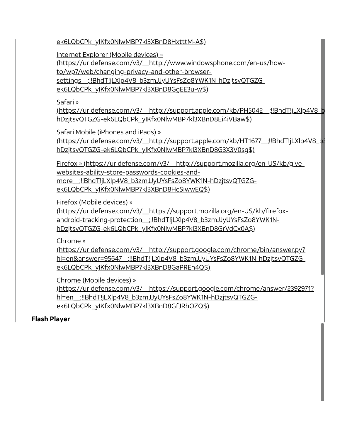[ek6LQbCPk\\_yIKfx0NlwMBP7kl3XBnD8HxtttM-A\\$\)](https://urldefense.com/v3/__http://windows.microsoft.com/en-US/windows7/Block-enable-or-allow-cookies__;!!BhdT!jLXlp4V8_b3zmJJyUYsFsZo8YWK1N-hDzjtsvQTGZG-ek6LQbCPk_yIKfx0NlwMBP7kl3XBnD8HxtttM-A$)

Internet Explorer (Mobile devices) »

[\(https://urldefense.com/v3/\\_\\_http://www.windowsphone.com/en-us/how-](https://urldefense.com/v3/__http://www.windowsphone.com/en-us/how-to/wp7/web/changing-privacy-and-other-browser-settings__;!!BhdT!jLXlp4V8_b3zmJJyUYsFsZo8YWK1N-hDzjtsvQTGZG-ek6LQbCPk_yIKfx0NlwMBP7kl3XBnD8GgEE3u-w$)

to/wp7/web/changing-privacy-and-other-browser-

settings :!!BhdT!jLXlp4V8\_b3zmJJyUYsFsZo8YWK1N-hDzjtsvQTGZG-

ek6LQbCPk\_yIKfx0NlwMBP7kl3XBnD8GgEE3u-w\$)

#### Safari »

[\(https://urldefense.com/v3/\\_\\_http://support.apple.com/kb/PH5042\\_\\_;!!BhdT!jLXlp4V8\\_b](https://urldefense.com/v3/__http://support.apple.com/kb/PH5042__;!!BhdT!jLXlp4V8_b3zmJJyUYsFsZo8YWK1N-hDzjtsvQTGZG-ek6LQbCPk_yIKfx0NlwMBP7kl3XBnD8Ei4iVBaw$) hDzjtsvQTGZG-ek6LQbCPk\_yIKfx0NlwMBP7kl3XBnD8Ei4iVBaw\$)

Safari Mobile (iPhones and iPads) »

[\(https://urldefense.com/v3/\\_\\_http://support.apple.com/kb/HT1677\\_\\_;!!BhdT!jLXlp4V8\\_b3](https://urldefense.com/v3/__http://support.apple.com/kb/HT1677__;!!BhdT!jLXlp4V8_b3zmJJyUYsFsZo8YWK1N-hDzjtsvQTGZG-ek6LQbCPk_yIKfx0NlwMBP7kl3XBnD8G3X3V0sg$) hDzjtsvQTGZG-ek6LQbCPk\_yIKfx0NlwMBP7kl3XBnD8G3X3V0sg\$)

Firefox » [\(https://urldefense.com/v3/\\_\\_http://support.mozilla.org/en-US/kb/give](https://urldefense.com/v3/__http://support.mozilla.org/en-US/kb/give-websites-ability-store-passwords-cookies-and-more__;!!BhdT!jLXlp4V8_b3zmJJyUYsFsZo8YWK1N-hDzjtsvQTGZG-ek6LQbCPk_yIKfx0NlwMBP7kl3XBnD8HcSiwwEQ$)websites-ability-store-passwords-cookies-andmore\_\_;!!BhdT!jLXlp4V8\_b3zmJJyUYsFsZo8YWK1N-hDzjtsvQTGZGek6LQbCPk\_yIKfx0NlwMBP7kl3XBnD8HcSiwwEQ\$)

Firefox (Mobile devices) »

[\(https://urldefense.com/v3/\\_\\_https://support.mozilla.org/en-US/kb/firefox](https://urldefense.com/v3/__https://support.mozilla.org/en-US/kb/firefox-android-tracking-protection__;!!BhdT!jLXlp4V8_b3zmJJyUYsFsZo8YWK1N-hDzjtsvQTGZG-ek6LQbCPk_yIKfx0NlwMBP7kl3XBnD8GrVdCx0A$)android-tracking-protection :!!BhdT!jLXlp4V8\_b3zmJJyUYsFsZo8YWK1NhDzjtsvQTGZG-ek6LQbCPk\_yIKfx0NlwMBP7kl3XBnD8GrVdCx0A\$)

Chrome »

(https://urldefense.com/v3/\_\_http://support.google.com/chrome/bin/answer.py? [hl=en&answer=95647\\_\\_;!!BhdT!jLXlp4V8\\_b3zmJJyUYsFsZo8YWK1N-hDzjtsvQTGZG](https://urldefense.com/v3/__http://support.google.com/chrome/bin/answer.py?hl=en&answer=95647__;!!BhdT!jLXlp4V8_b3zmJJyUYsFsZo8YWK1N-hDzjtsvQTGZG-ek6LQbCPk_yIKfx0NlwMBP7kl3XBnD8GaPREn4Q$)ek6LQbCPk\_yIKfx0NlwMBP7kl3XBnD8GaPREn4Q\$)

Chrome (Mobile devices) »

[\(https://urldefense.com/v3/\\_\\_https://support.google.com/chrome/answer/2392971?](https://urldefense.com/v3/__https://support.google.com/chrome/answer/2392971?hl=en__;!!BhdT!jLXlp4V8_b3zmJJyUYsFsZo8YWK1N-hDzjtsvQTGZG-ek6LQbCPk_yIKfx0NlwMBP7kl3XBnD8GfJRhOZQ$) hl=en\_\_;!!BhdT!jLXlp4V8\_b3zmJJyUYsFsZo8YWK1N-hDzjtsvQTGZGek6LQbCPk\_yIKfx0NlwMBP7kl3XBnD8GfJRhOZQ\$)

#### Flash Player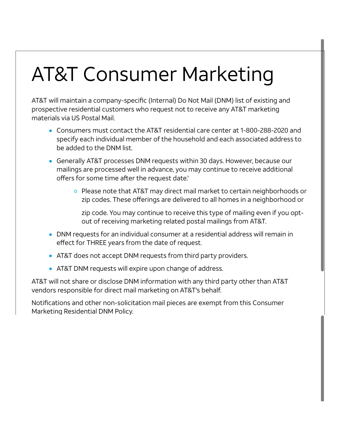# AT&T Consumer Marketing

AT&T will maintain a company-specific (Internal) Do Not Mail (DNM) list of existing and prospective residential customers who request not to receive any AT&T marketing materials via US Postal Mail.

- Consumers must contact the AT&T residential care center at 1-800-288-2020 and specify each individual member of the household and each associated address to be added to the DNM list.
- Generally AT&T processes DNM requests within 30 days. However, because our mailings are processed well in advance, you may continue to receive additional offers for some time after the request date.'
	- $\circ$  Please note that AT&T may direct mail market to certain neighborhoods or zip codes. These offerings are delivered to all homes in a neighborhood or

zip code. You may continue to receive this type of mailing even if you optout of receiving marketing related postal mailings from AT&T.

- DNM requests for an individual consumer at a residential address will remain in effect for THREE years from the date of request.
- AT&T does not accept DNM requests from third party providers.
- AT&T DNM requests will expire upon change of address.

AT&T will not share or disclose DNM information with any third party other than AT&T vendors responsible for direct mail marketing on AT&T's behalf.

Notifications and other non-solicitation mail pieces are exempt from this Consumer Marketing Residential DNM Policy.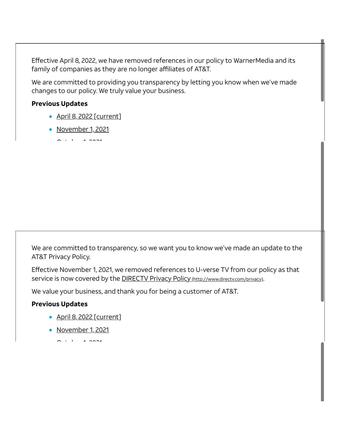Effective April 8, 2022, we have removed references in our policy to WarnerMedia and its family of companies as they are no longer affiliates of AT&T.

We are committed to providing you transparency by letting you know when we've made changes to our policy. We truly value your business.

#### Previous Updates

- April 8, 2022 [current]
- November 1, 2021

 $\sim$   $\sim$   $\sim$   $\sim$   $\sim$ 

We are committed to transparency, so we want you to know we've made an update to the AT&T Privacy Policy.

Effective November 1, 2021, we removed references to U-verse TV from our policy as that service is now covered by the **DIRECTV Privacy Policy** [\(http://www.directv.com/privacy\)](http://www.directv.com/privacy).

We value your business, and thank you for being a customer of AT&T.

#### Previous Updates

- April 8, 2022 [current]
- November 1, 2021
	- $\sim$   $\sim$  1 2021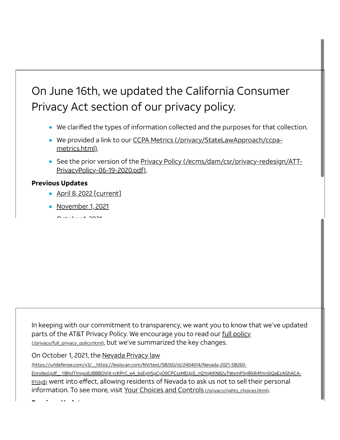## On June 16th, we updated the California Consumer Privacy Act section of our privacy policy.

- We clarified the types of information collected and the purposes for that collection.
- We provided a link to our CCPA Metrics [\(/privacy/StateLawApproach/ccpa](https://about.att.com/privacy/StateLawApproach/ccpa-metrics.html)metrics.html).
- See the prior version of the Privacy Policy [\(/ecms/dam/csr/privacy-redesign/ATT-](https://about.att.com/ecms/dam/csr/privacy-redesign/ATT-PrivacyPolicy-06-19-2020.pdf)PrivacyPolicy-06-19-2020.pdf).

#### Previous Updates

- April 8, 2022 [current]
- November 1, 2021
- $\bigcap_{x} L_x L_x$

In keeping with our commitment to transparency, we want you to know that we've updated parts of the AT&T Privacy Policy. We encourage you to read our full policy [\(/privacy/full\\_privacy\\_policy.html\)](https://about.att.com/privacy/full_privacy_policy.html), but we've summarized the key changes.

On October 1, 2021, the Nevada Privacy law

(https://urldefense.com/v3/\_\_https://legiscan.com/NV/text/SB260/id/2404614/Nevada-2021-SB260-

Enrolled.pdf \_:!!BhdT!mjxoEzBBBOVjX-rcKPrC\_eA\_bsEyHSpCyO9CPCszMDJpS\_nQ1njKKN82uTWxmP3yIRkR4fmr6IQaEzAGhACAlFh3g\$) went into effect, allowing residents of Nevada to ask us not to sell their personal information. To see more, visit Your Choices and Controls [\(/privacy/rights\\_choices.html\)](https://about.att.com/privacy/rights_choices.html).

P i U di U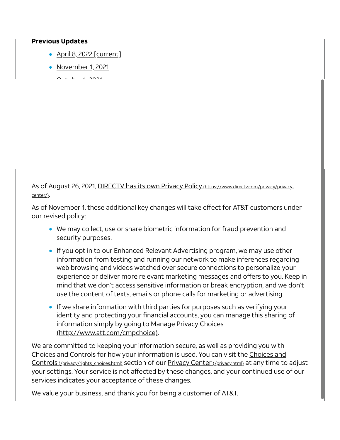#### Previous Updates

- April 8, 2022 [current]
- November 1, 2021

 $\sim$   $\sim$   $\sim$   $\sim$   $\sim$ 

As of August 26, 2021, DIRECTV has its own Privacy Policy [\(https://www.directv.com/privacy/privacy](https://www.directv.com/privacy/privacy-center/)center/).

As of November 1, these additional key changes will take effect for AT&T customers under our revised policy:

- We may collect, use or share biometric information for fraud prevention and security purposes.
- If you opt in to our Enhanced Relevant Advertising program, we may use other information from testing and running our network to make inferences regarding web browsing and videos watched over secure connections to personalize your experience or deliver more relevant marketing messages and offers to you. Keep in mind that we don't access sensitive information or break encryption, and we don't use the content of texts, emails or phone calls for marketing or advertising.
- If we share information with third parties for purposes such as verifying your identity and protecting your financial accounts, you can manage this sharing of information simply by going to Manage Privacy Choices [\(http://www.att.com/cmpchoice\).](http://www.att.com/cmpchoice)

We are committed to keeping your information secure, as well as providing you with Choices and Controls for how your information is used. You can visit the Choices and Controls [\(/privacy/rights\\_choices.html\)](https://about.att.com/privacy/rights_choices.html) section of our [Privacy](https://about.att.com/privacy.html) Center(/privacy.html) at any time to adjust your settings. Your service is not affected by these changes, and your continued use of our services indicates your acceptance of these changes.

We value your business, and thank you for being a customer of AT&T.